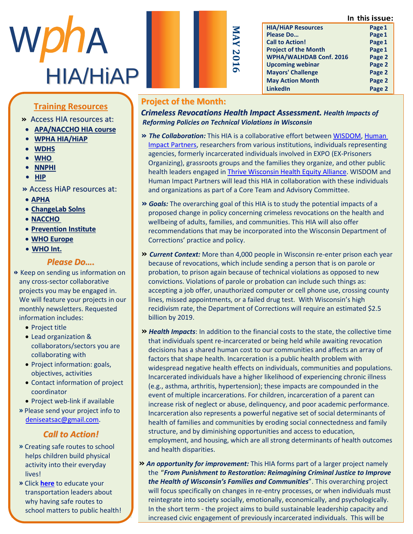**In this issue:**



| Ś<br>Ò<br>⋜                             |
|-----------------------------------------|
| Z<br>0<br>$\overline{\phantom{0}}$<br>ൈ |
|                                         |

**HIA/HiAP Resources Page1 Please Do...** Page 1 **Call to Action! Page1 Project of the Month Page1 WPHA/WALHDAB Conf. 2016 Page 2 Upcoming webinar Page 2 Mayors' Challenge Page 2 May Action Month Page 2 LinkedIn Page 2**

## **Training Resources**

- » Access HIA resources at:
- **APA/NACCHO HIA course**
- **• WPHA [HIA/HiAP](http://www.wpha.org/?page=hia_library)**
- <u>WDHS</u>
	- **•** <u>[WHO](http://www.who.int/hia/tools/en/)</u>
	- m e m b e r o f t h e W P H A **• [NNPHI](https://nnphi.org/relatedarticle/nnphis-member-institutes-as-national-health-impact-assessment-hia-training-and-capacity-building-centers/)**
	- **•** <u>HIP</u><br>• HIP</u>  $\frac{m}{2}$  m  $\frac{m}{2}$
	- **»** Access HiAP resources at:
	- **APHA**
	- **ChangeLab Solns**
	- $\cdot$  **NACCHO**
	- **• Prevention Institute**
	- **WHO Europe**  $\frac{\text{write} \times \text{error}}{\text{error} \times \text{error}}$
	- **•** <u>WHO Int.</u>

#### *Please Do….*

- **»** Keep on sending us information on any cross-sector collaborative projects you may be engaged in. we will feature your projects in our monthly newsletters. Requested mental, according the period
	- Project title
	- Lead organization & P E cad organization & conaborators, sectors
	- E condition at the with • Project information: goals, objectives, activities objectives, activities
	- Contact information of project U COOPOINATOR<br>U n i v e r s i n s i n s i n s i n s i n s i n s i n s i n s i n s i n s i n s i n s i n s i n s i n s i n s coordinator
	- Project web-link if available
	- **»** Please send your project info to deniseatsac@gmail.com.

#### **Call to Action!**  $\epsilon$  and to Action.

- **»** Creating safe routes to school helps children build physical activity into their everyday lives! Experimental and the result of the result of the result of the result of the result of the result of the result of the result of the result of the result of the result of the result of the result of the result of th
- **»** Click <u>here</u> to educate your  $\blacksquare$ transportation leaders about why having safe routes to school matters to public health!

#### **Project of the Month:**

*Crimeless Revocations Health Impact Assessment. Health Impacts of Reforming Policies on Technical Violations in Wisconsin*

- **»** *The Collaboration:* This HIA is a collaborative effort between [WISDOM,](http://prayforjusticeinwi.org/) [Human](http://www.humanimpact.org/)  [Impact Partners,](http://www.humanimpact.org/) researchers from various institutions, individuals representing agencies, formerly incarcerated individuals involved in EXPO (EX-Prisoners Organizing), grassroots groups and the families they organize, and other public health leaders engaged i[n Thrive Wisconsin Health Equity Alliance.](http://www.healthleadership.org/content/thrive-wi-wisconsins-alliance-health-equity-wisconsin-statewide-cohort-2-2013) WISDOM and Human Impact Partners will lead this HIA in collaboration with these individuals and organizations as part of a Core Team and Advisory Committee.
- **»** *Goals:* The overarching goal of this HIA is to study the potential impacts of a proposed change in policy concerning crimeless revocations on the health and wellbeing of adults, families, and communities. This HIA will also offer recommendations that may be incorporated into the Wisconsin Department of Corrections' practice and policy.
- **»** *Current Context:* More than 4,000 people in Wisconsin re-enter prison each year because of revocations, which include sending a person that is on parole or probation, to prison again because of technical violations as opposed to new convictions. Violations of parole or probation can include such things as: accepting a job offer, unauthorized computer or cell phone use, crossing county lines, missed appointments, or a failed drug test. With Wisconsin's high recidivism rate, the Department of Corrections will require an estimated \$2.5 billion by 2019.
- **»** *Health Impacts*: In addition to the financial costs to the state, the collective time that individuals spent re-incarcerated or being held while awaiting revocation decisions has a shared human cost to our communities and affects an array of factors that shape health. Incarceration is a public health problem with widespread negative health effects on individuals, communities and populations. Incarcerated individuals have a higher likelihood of experiencing chronic illness (e.g., asthma, arthritis, hypertension); these impacts are compounded in the event of multiple incarcerations. For children, incarceration of a parent can increase risk of neglect or abuse, delinquency, and poor academic performance. Incarceration also represents a powerful negative set of social determinants of health of families and communities by eroding social connectedness and family structure, and by diminishing opportunities and access to education, employment, and housing, which are all strong determinants of health outcomes and health disparities.
- **»** *An opportunity for improvement:* This HIA forms part of a larger project namely the "*From Punishment to Restoration: Reimagining Criminal Justice to Improve the Health of Wisconsin's Families and Communities*". This overarching project will focus specifically on changes in re-entry processes, or when individuals must reintegrate into society socially, emotionally, economically, and psychologically. In the short term - the project aims to build sustainable leadership capacity and increased civic engagement of previously incarcerated individuals. This will be